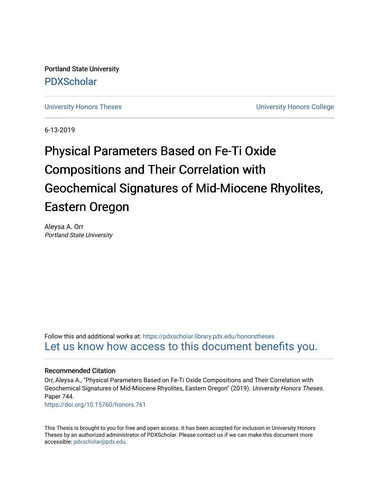Portland State University [PDXScholar](https://pdxscholar.library.pdx.edu/)

[University Honors Theses](https://pdxscholar.library.pdx.edu/honorstheses) **University Honors College** 

6-13-2019

# Physical Parameters Based on Fe-Ti Oxide Compositions and Their Correlation with Geochemical Signatures of Mid-Miocene Rhyolites, Eastern Oregon

Aleysa A. Orr Portland State University

Follow this and additional works at: [https://pdxscholar.library.pdx.edu/honorstheses](https://pdxscholar.library.pdx.edu/honorstheses?utm_source=pdxscholar.library.pdx.edu%2Fhonorstheses%2F744&utm_medium=PDF&utm_campaign=PDFCoverPages)  [Let us know how access to this document benefits you.](http://library.pdx.edu/services/pdxscholar-services/pdxscholar-feedback/) 

#### Recommended Citation

Orr, Aleysa A., "Physical Parameters Based on Fe-Ti Oxide Compositions and Their Correlation with Geochemical Signatures of Mid-Miocene Rhyolites, Eastern Oregon" (2019). University Honors Theses. Paper 744.

<https://doi.org/10.15760/honors.761>

This Thesis is brought to you for free and open access. It has been accepted for inclusion in University Honors Theses by an authorized administrator of PDXScholar. Please contact us if we can make this document more accessible: [pdxscholar@pdx.edu.](mailto:pdxscholar@pdx.edu)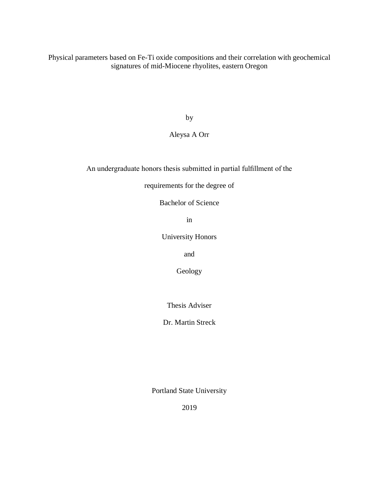Physical parameters based on Fe-Ti oxide compositions and their correlation with geochemical signatures of mid-Miocene rhyolites, eastern Oregon

by

## Aleysa A Orr

An undergraduate honors thesis submitted in partial fulfillment of the

requirements for the degree of

Bachelor of Science

in

University Honors

and

Geology

Thesis Adviser

Dr. Martin Streck

Portland State University

2019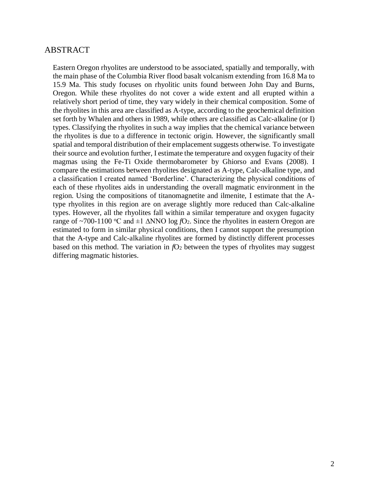## ABSTRACT

Eastern Oregon rhyolites are understood to be associated, spatially and temporally, with the main phase of the Columbia River flood basalt volcanism extending from 16.8 Ma to 15.9 Ma. This study focuses on rhyolitic units found between John Day and Burns, Oregon. While these rhyolites do not cover a wide extent and all erupted within a relatively short period of time, they vary widely in their chemical composition. Some of the rhyolites in this area are classified as A-type, according to the geochemical definition set forth by Whalen and others in 1989, while others are classified as Calc-alkaline (or I) types. Classifying the rhyolites in such a way implies that the chemical variance between the rhyolites is due to a difference in tectonic origin. However, the significantly small spatial and temporal distribution of their emplacement suggests otherwise. To investigate their source and evolution further, I estimate the temperature and oxygen fugacity of their magmas using the Fe-Ti Oxide thermobarometer by Ghiorso and Evans (2008). I compare the estimations between rhyolites designated as A-type, Calc-alkaline type, and a classification I created named 'Borderline'. Characterizing the physical conditions of each of these rhyolites aids in understanding the overall magmatic environment in the region. Using the compositions of titanomagnetite and ilmenite, I estimate that the Atype rhyolites in this region are on average slightly more reduced than Calc-alkaline types. However, all the rhyolites fall within a similar temperature and oxygen fugacity range of ~700-1100 °C and  $\pm 1$   $\Delta NNO$  log  $fO_2$ . Since the rhyolites in eastern Oregon are estimated to form in similar physical conditions, then I cannot support the presumption that the A-type and Calc-alkaline rhyolites are formed by distinctly different processes based on this method. The variation in  $fO<sub>2</sub>$  between the types of rhyolites may suggest differing magmatic histories.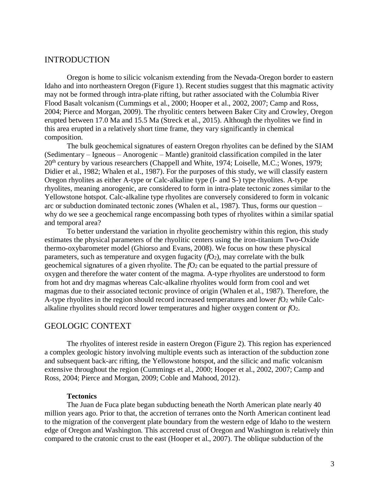## INTRODUCTION

Oregon is home to silicic volcanism extending from the Nevada-Oregon border to eastern Idaho and into northeastern Oregon (Figure 1). Recent studies suggest that this magmatic activity may not be formed through intra-plate rifting, but rather associated with the Columbia River Flood Basalt volcanism (Cummings et al., 2000; Hooper et al., 2002, 2007; Camp and Ross, 2004; Pierce and Morgan, 2009). The rhyolitic centers between Baker City and Crowley, Oregon erupted between 17.0 Ma and 15.5 Ma (Streck et al., 2015). Although the rhyolites we find in this area erupted in a relatively short time frame, they vary significantly in chemical composition.

The bulk geochemical signatures of eastern Oregon rhyolites can be defined by the SIAM (Sedimentary – Igneous – Anorogenic – Mantle) granitoid classification compiled in the later 20th century by various researchers (Chappell and White, 1974; Loiselle, M.C.; Wones, 1979; Didier et al., 1982; Whalen et al., 1987). For the purposes of this study, we will classify eastern Oregon rhyolites as either A-type or Calc-alkaline type (I- and S-) type rhyolites. A-type rhyolites, meaning anorogenic, are considered to form in intra-plate tectonic zones similar to the Yellowstone hotspot. Calc-alkaline type rhyolites are conversely considered to form in volcanic arc or subduction dominated tectonic zones (Whalen et al., 1987). Thus, forms our question – why do we see a geochemical range encompassing both types of rhyolites within a similar spatial and temporal area?

To better understand the variation in rhyolite geochemistry within this region, this study estimates the physical parameters of the rhyolitic centers using the iron-titanium Two-Oxide thermo-oxybarometer model (Ghiorso and Evans, 2008). We focus on how these physical parameters, such as temperature and oxygen fugacity  $(fQ<sub>2</sub>)$ , may correlate with the bulk geochemical signatures of a given rhyolite. The *f*O<sub>2</sub> can be equated to the partial pressure of oxygen and therefore the water content of the magma. A-type rhyolites are understood to form from hot and dry magmas whereas Calc-alkaline rhyolites would form from cool and wet magmas due to their associated tectonic province of origin (Whalen et al., 1987). Therefore, the A-type rhyolites in the region should record increased temperatures and lower *f*O<sup>2</sup> while Calcalkaline rhyolites should record lower temperatures and higher oxygen content or *f*O2.

## GEOLOGIC CONTEXT

The rhyolites of interest reside in eastern Oregon (Figure 2). This region has experienced a complex geologic history involving multiple events such as interaction of the subduction zone and subsequent back-arc rifting, the Yellowstone hotspot, and the silicic and mafic volcanism extensive throughout the region (Cummings et al., 2000; Hooper et al., 2002, 2007; Camp and Ross, 2004; Pierce and Morgan, 2009; Coble and Mahood, 2012).

#### **Tectonics**

The Juan de Fuca plate began subducting beneath the North American plate nearly 40 million years ago. Prior to that, the accretion of terranes onto the North American continent lead to the migration of the convergent plate boundary from the western edge of Idaho to the western edge of Oregon and Washington. This accreted crust of Oregon and Washington is relatively thin compared to the cratonic crust to the east (Hooper et al., 2007). The oblique subduction of the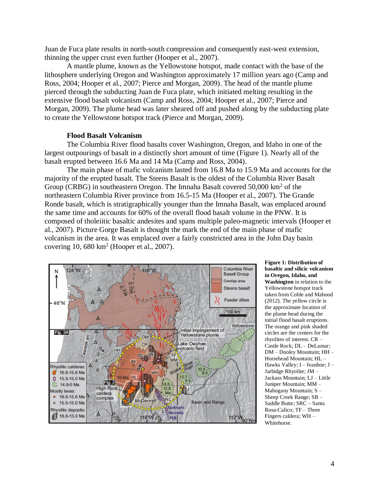Juan de Fuca plate results in north-south compression and consequently east-west extension, thinning the upper crust even further (Hooper et al., 2007).

A mantle plume, known as the Yellowstone hotspot, made contact with the base of the lithosphere underlying Oregon and Washington approximately 17 million years ago (Camp and Ross, 2004; Hooper et al., 2007; Pierce and Morgan, 2009). The head of the mantle plume pierced through the subducting Juan de Fuca plate, which initiated melting resulting in the extensive flood basalt volcanism (Camp and Ross, 2004; Hooper et al., 2007; Pierce and Morgan, 2009). The plume head was later sheared off and pushed along by the subducting plate to create the Yellowstone hotspot track (Pierce and Morgan, 2009).

#### **Flood Basalt Volcanism**

The Columbia River flood basalts cover Washington, Oregon, and Idaho in one of the largest outpourings of basalt in a distinctly short amount of time (Figure 1). Nearly all of the basalt erupted between 16.6 Ma and 14 Ma (Camp and Ross, 2004).

The main phase of mafic volcanism lasted from 16.8 Ma to 15.9 Ma and accounts for the majority of the erupted basalt. The Steens Basalt is the oldest of the Columbia River Basalt Group (CRBG) in southeastern Oregon. The Imnaha Basalt covered 50,000 km<sup>2</sup> of the northeastern Columbia River province from 16.5-15 Ma (Hooper et al., 2007). The Grande Ronde basalt, which is stratigraphically younger than the Imnaha Basalt, was emplaced around the same time and accounts for 60% of the overall flood basalt volume in the PNW. It is composed of tholeiitic basaltic andesites and spans multiple paleo-magnetic intervals (Hooper et al., 2007). Picture Gorge Basalt is thought the mark the end of the main phase of mafic volcanism in the area. It was emplaced over a fairly constricted area in the John Day basin covering  $10,680 \text{ km}^2$  (Hooper et al., 2007).



**Figure 1: Distribution of basaltic and silicic volcanism in Oregon, Idaho, and Washington** in relation to the Yellowstone hotspot track taken from Coble and Mahood (2012). The yellow circle is the approximate location of the plume head during the initial flood basalt eruptions. The orange and pink shaded circles are the centers for the rhyolites of interest. CR – Castle Rock; DL – DeLamar; DM – Dooley Mountain; HH – Horsehead Mountain; HL – Hawks Valley; I – Ivanhoe; J – Jarbidge Rhyolite; JM – Jackass Mountain; LJ – Little Juniper Mountain; MM – Mahogany Mountain; S – Sheep Creek Range; SB – Saddle Butte; SRC – Santa Rosa-Calico; TF – Three Fingers caldera; WH – Whitehorse.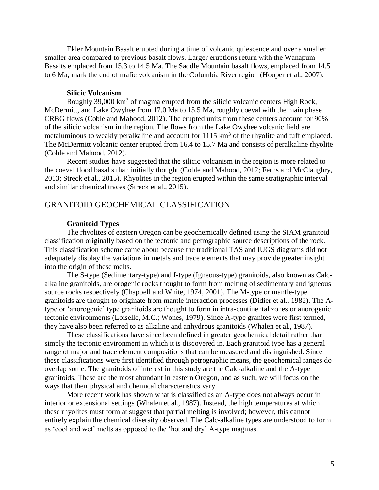Ekler Mountain Basalt erupted during a time of volcanic quiescence and over a smaller smaller area compared to previous basalt flows. Larger eruptions return with the Wanapum Basalts emplaced from 15.3 to 14.5 Ma. The Saddle Mountain basalt flows, emplaced from 14.5 to 6 Ma, mark the end of mafic volcanism in the Columbia River region (Hooper et al., 2007).

#### **Silicic Volcanism**

Roughly 39,000 km<sup>3</sup> of magma erupted from the silicic volcanic centers High Rock, McDermitt, and Lake Owyhee from 17.0 Ma to 15.5 Ma, roughly coeval with the main phase CRBG flows (Coble and Mahood, 2012). The erupted units from these centers account for 90% of the silicic volcanism in the region. The flows from the Lake Owyhee volcanic field are metaluminous to weakly peralkaline and account for 1115 km<sup>3</sup> of the rhyolite and tuff emplaced. The McDermitt volcanic center erupted from 16.4 to 15.7 Ma and consists of peralkaline rhyolite (Coble and Mahood, 2012).

Recent studies have suggested that the silicic volcanism in the region is more related to the coeval flood basalts than initially thought (Coble and Mahood, 2012; Ferns and McClaughry, 2013; Streck et al., 2015). Rhyolites in the region erupted within the same stratigraphic interval and similar chemical traces (Streck et al., 2015).

## GRANITOID GEOCHEMICAL CLASSIFICATION

#### **Granitoid Types**

The rhyolites of eastern Oregon can be geochemically defined using the SIAM granitoid classification originally based on the tectonic and petrographic source descriptions of the rock. This classification scheme came about because the traditional TAS and IUGS diagrams did not adequately display the variations in metals and trace elements that may provide greater insight into the origin of these melts.

The S-type (Sedimentary-type) and I-type (Igneous-type) granitoids, also known as Calcalkaline granitoids, are orogenic rocks thought to form from melting of sedimentary and igneous source rocks respectively (Chappell and White, 1974, 2001). The M-type or mantle-type granitoids are thought to originate from mantle interaction processes (Didier et al., 1982). The Atype or 'anorogenic' type granitoids are thought to form in intra-continental zones or anorogenic tectonic environments (Loiselle, M.C.; Wones, 1979). Since A-type granites were first termed, they have also been referred to as alkaline and anhydrous granitoids (Whalen et al., 1987).

These classifications have since been defined in greater geochemical detail rather than simply the tectonic environment in which it is discovered in. Each granitoid type has a general range of major and trace element compositions that can be measured and distinguished. Since these classifications were first identified through petrographic means, the geochemical ranges do overlap some. The granitoids of interest in this study are the Calc-alkaline and the A-type granitoids. These are the most abundant in eastern Oregon, and as such, we will focus on the ways that their physical and chemical characteristics vary.

More recent work has shown what is classified as an A-type does not always occur in interior or extensional settings (Whalen et al., 1987). Instead, the high temperatures at which these rhyolites must form at suggest that partial melting is involved; however, this cannot entirely explain the chemical diversity observed. The Calc-alkaline types are understood to form as 'cool and wet' melts as opposed to the 'hot and dry' A-type magmas.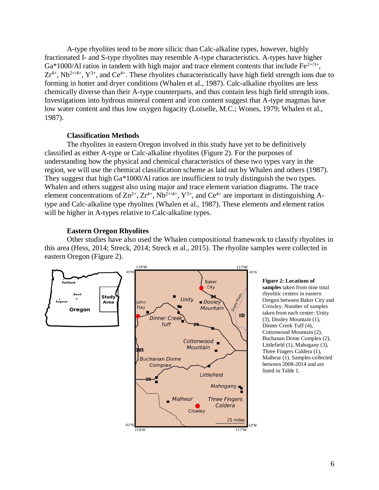A-type rhyolites tend to be more silicic than Calc-alkaline types, however, highly fractionated I- and S-type rhyolites may resemble A-type characteristics. A-types have higher Ga\*1000/Al ratios in tandem with high major and trace element contents that include  $Fe^{2+/3+}$ ,  $Zr^{4+}$ , Nb<sup>2+/4+</sup>, Y<sup>3+</sup>, and Ce<sup>4+</sup>. These rhyolites characteristically have high field strength ions due to forming in hotter and dryer conditions (Whalen et al., 1987). Calc-alkaline rhyolites are less chemically diverse than their A-type counterparts, and thus contain less high field strength ions. Investigations into hydrous mineral content and iron content suggest that A-type magmas have low water content and thus low oxygen fugacity (Loiselle, M.C.; Wones, 1979; Whalen et al., 1987).

## **Classification Methods**

The rhyolites in eastern Oregon involved in this study have yet to be definitively classified as either A-type or Calc-alkaline rhyolites (Figure 2). For the purposes of understanding how the physical and chemical characteristics of these two types vary in the region, we will use the chemical classification scheme as laid out by Whalen and others (1987). They suggest that high Ga\*1000/Al ratios are insufficient to truly distinguish the two types. Whalen and others suggest also using major and trace element variation diagrams. The trace element concentrations of  $\text{Zn}^{2+}$ ,  $\text{Zr}^{4+}$ ,  $\text{Nb}^{2+/4+}$ ,  $\text{Y}^{3+}$ , and  $\text{Ce}^{4+}$  are important in distinguishing Atype and Calc-alkaline type rhyolites (Whalen et al., 1987). These elements and element ratios will be higher in A-types relative to Calc-alkaline types.

#### **Eastern Oregon Rhyolites**

Other studies have also used the Whalen compositional framework to classify rhyolites in this area (Hess, 2014; Streck, 2014; Streck et al., 2015). The rhyolite samples were collected in eastern Oregon (Figure 2).



**Figure 2: Locations of samples** taken from nine total rhyolitic centers in eastern Oregon between Baker City and Crowley. Number of samples taken from each center: Unity (3), Dooley Mountain (1), Dinner Creek Tuff (4), Cottonwood Mountain (2), Buchanan Dome Complex (2), Littlefield (1), Mahogany (3), Three Fingers Caldera (1), Malheur (1). Samples collected between 2008-2014 and are listed in Table 1.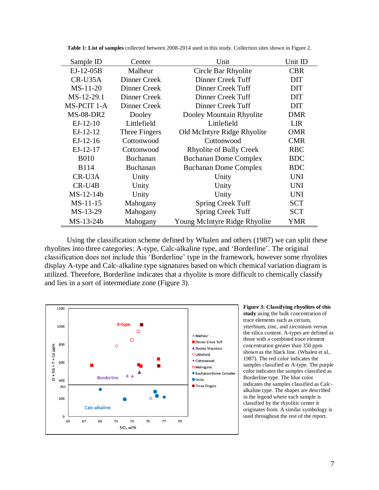| Sample ID   | Center          | Unit                           | Unit ID    |
|-------------|-----------------|--------------------------------|------------|
| EJ-12-05B   | Malheur         | Circle Bar Rhyolite            | <b>CBR</b> |
| CR-U35A     | Dinner Creek    | Dinner Creek Tuff              | <b>DIT</b> |
| $MS-11-20$  | Dinner Creek    | Dinner Creek Tuff              | <b>DIT</b> |
| MS-12-29.1  | Dinner Creek    | Dinner Creek Tuff              | <b>DIT</b> |
| MS-PCIT 1-A | Dinner Creek    | Dinner Creek Tuff              | <b>DIT</b> |
| $MS-08-DR2$ | Dooley          | Dooley Mountain Rhyolite       | <b>DMR</b> |
| $EJ-12-10$  | Littlefield     | Littlefield                    | <b>LIR</b> |
| $EJ-12-12$  | Three Fingers   | Old McIntyre Ridge Rhyolite    | <b>OMR</b> |
| $EJ-12-16$  | Cottonwood      | Cottonwood                     | <b>CMR</b> |
| $EJ-12-17$  | Cottonwood      | <b>Rhyolite of Bully Creek</b> | <b>RBC</b> |
| <b>B010</b> | <b>Buchanan</b> | <b>Buchanan Dome Complex</b>   | <b>BDC</b> |
| <b>B114</b> | <b>Buchanan</b> | <b>Buchanan Dome Complex</b>   | <b>BDC</b> |
| CR-U3A      | Unity           | Unity                          | <b>UNI</b> |
| CR-U4B      | Unity           | Unity                          | <b>UNI</b> |
| $MS-12-14b$ | Unity           | Unity                          | <b>UNI</b> |
| $MS-11-15$  | Mahogany        | <b>Spring Creek Tuff</b>       | <b>SCT</b> |
| MS-13-29    | Mahogany        | <b>Spring Creek Tuff</b>       | <b>SCT</b> |
| MS-13-24b   | Mahogany        | Young McIntyre Ridge Rhyolite  | YMR        |

**Table 1: List of samples** collected between 2008-2014 used in this study. Collection sites shown in Figure 2.

Using the classification scheme defined by Whalen and others (1987) we can split these rhyolites into three categories: A-type, Calc-alkaline type, and 'Borderline'. The original classification does not include this 'Borderline' type in the framework, however some rhyolites display A-type and Calc-alkaline type signatures based on which chemical variation diagram is utilized. Therefore, Borderline indicates that a rhyolite is more difficult to chemically classify and lies in a sort of intermediate zone (Figure 3).



**Figure 3: Classifying rhyolites of this study** using the bulk concentration of trace elements such as cerium, ytterbium, zinc, and zirconium versus the silica content. A-types are defined as those with a combined trace element concentration greater than 350 ppm shown as the black line. (Whalen et al., 1987). The red color indicates the samples classified as A-type. The purple color indicates the samples classified as Borderline type. The blue color indicates the samples classified as Calcalkaline type. The shapes are described in the legend where each sample is classified by the rhyolitic center it originates from. A similar symbology is used throughout the rest of the report.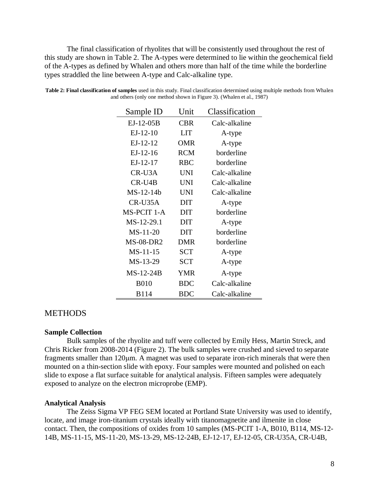The final classification of rhyolites that will be consistently used throughout the rest of this study are shown in Table 2. The A-types were determined to lie within the geochemical field of the A-types as defined by Whalen and others more than half of the time while the borderline types straddled the line between A-type and Calc-alkaline type.

| Sample ID        | Unit       | Classification |  |
|------------------|------------|----------------|--|
| $EJ-12-05B$      | CBR        | Calc-alkaline  |  |
| $EJ-12-10$       | LIT        | A-type         |  |
| $EJ-12-12$       | OMR        | A-type         |  |
| $EJ-12-16$       | <b>RCM</b> | borderline     |  |
| $EJ-12-17$       | <b>RBC</b> | borderline     |  |
| CR-U3A           | <b>UNI</b> | Calc-alkaline  |  |
| CR-U4B           | <b>UNI</b> | Calc-alkaline  |  |
| $MS-12-14b$      | UNI        | Calc-alkaline  |  |
| CR-U35A          | <b>DIT</b> | A-type         |  |
| MS-PCIT 1-A      | <b>DIT</b> | borderline     |  |
| MS-12-29.1       | <b>DIT</b> | A-type         |  |
| $MS-11-20$       | <b>DIT</b> | borderline     |  |
| <b>MS-08-DR2</b> | <b>DMR</b> | borderline     |  |
| $MS-11-15$       | <b>SCT</b> | A-type         |  |
| MS-13-29         | <b>SCT</b> | A-type         |  |
| $MS-12-24B$      | YMR        | A-type         |  |
| <b>B010</b>      | BDC        | Calc-alkaline  |  |
| B114             | BDC        | Calc-alkaline  |  |

**Table 2: Final classification of samples** used in this study. Final classification determined using multiple methods from Whalen and others (only one method shown in Figure 3). (Whalen et al., 1987)

## **METHODS**

#### **Sample Collection**

Bulk samples of the rhyolite and tuff were collected by Emily Hess, Martin Streck, and Chris Ricker from 2008-2014 (Figure 2). The bulk samples were crushed and sieved to separate fragments smaller than 120μm. A magnet was used to separate iron-rich minerals that were then mounted on a thin-section slide with epoxy. Four samples were mounted and polished on each slide to expose a flat surface suitable for analytical analysis. Fifteen samples were adequately exposed to analyze on the electron microprobe (EMP).

#### **Analytical Analysis**

The Zeiss Sigma VP FEG SEM located at Portland State University was used to identify, locate, and image iron-titanium crystals ideally with titanomagnetite and ilmenite in close contact. Then, the compositions of oxides from 10 samples (MS-PCIT 1-A, B010, B114, MS-12- 14B, MS-11-15, MS-11-20, MS-13-29, MS-12-24B, EJ-12-17, EJ-12-05, CR-U35A, CR-U4B,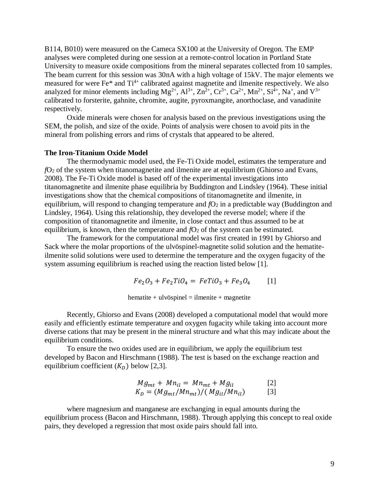B114, B010) were measured on the Cameca SX100 at the University of Oregon. The EMP analyses were completed during one session at a remote-control location in Portland State University to measure oxide compositions from the mineral separates collected from 10 samples. The beam current for this session was 30nA with a high voltage of 15kV. The major elements we measured for were Fe<sup>\*</sup> and Ti<sup>4+</sup> calibrated against magnetite and ilmenite respectively. We also analyzed for minor elements including  $Mg^{2+}$ ,  $Al^{3+}$ ,  $Zn^{2+}$ ,  $Cr^{3+}$ ,  $Ca^{2+}$ ,  $Mn^{2+}$ ,  $Si^{4+}$ ,  $Na^{+}$ , and  $V^{3+}$ calibrated to forsterite, gahnite, chromite, augite, pyroxmangite, anorthoclase, and vanadinite respectively.

Oxide minerals were chosen for analysis based on the previous investigations using the SEM, the polish, and size of the oxide. Points of analysis were chosen to avoid pits in the mineral from polishing errors and rims of crystals that appeared to be altered.

#### **The Iron-Titanium Oxide Model**

The thermodynamic model used, the Fe-Ti Oxide model, estimates the temperature and *f*O<sup>2</sup> of the system when titanomagnetite and ilmenite are at equilibrium (Ghiorso and Evans, 2008). The Fe-Ti Oxide model is based off of the experimental investigations into titanomagnetite and ilmenite phase equilibria by Buddington and Lindsley (1964). These initial investigations show that the chemical compositions of titanomagnetite and ilmenite, in equilibrium, will respond to changing temperature and  $fQ_2$  in a predictable way (Buddington and Lindsley, 1964). Using this relationship, they developed the reverse model; where if the composition of titanomagnetite and ilmenite, in close contact and thus assumed to be at equilibrium, is known, then the temperature and  $fO<sub>2</sub>$  of the system can be estimated.

The framework for the computational model was first created in 1991 by Ghiorso and Sack where the molar proportions of the ulvöspinel-magnetite solid solution and the hematiteilmenite solid solutions were used to determine the temperature and the oxygen fugacity of the system assuming equilibrium is reached using the reaction listed below [1].

$$
Fe_2O_3 + Fe_2TiO_4 = FeTiO_3 + Fe_3O_4 \qquad [1]
$$

 $hematite + ulv\ddot{\text{o}}spinel = ilmenite + magnetite$ 

Recently, Ghiorso and Evans (2008) developed a computational model that would more easily and efficiently estimate temperature and oxygen fugacity while taking into account more diverse cations that may be present in the mineral structure and what this may indicate about the equilibrium conditions.

To ensure the two oxides used are in equilibrium, we apply the equilibrium test developed by Bacon and Hirschmann (1988). The test is based on the exchange reaction and equilibrium coefficient  $(K_D)$  below [2,3].

$$
Mg_{mt} + Mn_{il} = Mn_{mt} + Mg_{il}
$$
  
\n
$$
K_D = (Mg_{mt}/Mn_{mt})/(Mg_{il}/Mn_{il})
$$
\n[3]

where magnesium and manganese are exchanging in equal amounts during the equilibrium process (Bacon and Hirschmann, 1988). Through applying this concept to real oxide pairs, they developed a regression that most oxide pairs should fall into.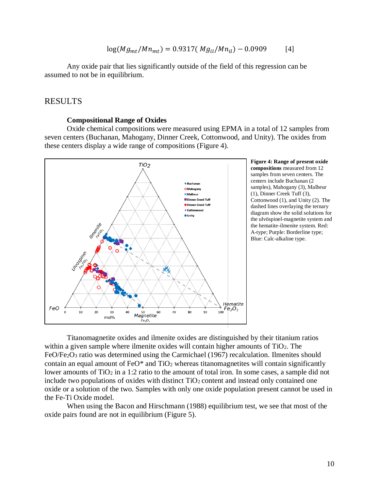$$
log(Mg_{mt}/Mn_{mt}) = 0.9317(Mg_{il}/Mn_{il}) - 0.0909
$$
 [4]

Any oxide pair that lies significantly outside of the field of this regression can be assumed to not be in equilibrium.

## RESULTS

#### **Compositional Range of Oxides**

Oxide chemical compositions were measured using EPMA in a total of 12 samples from seven centers (Buchanan, Mahogany, Dinner Creek, Cottonwood, and Unity). The oxides from these centers display a wide range of compositions (Figure 4).



**Figure 4: Range of present oxide compositions** measured from 12 samples from seven centers. The centers include Buchanan (2 samples), Mahogany (3), Malheur (1), Dinner Creek Tuff (3), Cottonwood (1), and Unity (2). The dashed lines overlaying the ternary diagram show the solid solutions for the ulvöspinel-magnetite system and the hematite-ilmenite system. Red: A-type; Purple: Borderline type; Blue: Calc-alkaline type.

Titanomagnetite oxides and ilmenite oxides are distinguished by their titanium ratios within a given sample where ilmenite oxides will contain higher amounts of TiO2. The FeO/Fe2O<sup>3</sup> ratio was determined using the Carmichael (1967) recalculation. Ilmenites should contain an equal amount of  $FeO^*$  and  $TiO<sub>2</sub>$  whereas titanomagnetites will contain significantly lower amounts of TiO<sub>2</sub> in a 1:2 ratio to the amount of total iron. In some cases, a sample did not include two populations of oxides with distinct  $TiO<sub>2</sub>$  content and instead only contained one oxide or a solution of the two. Samples with only one oxide population present cannot be used in the Fe-Ti Oxide model.

When using the Bacon and Hirschmann (1988) equilibrium test, we see that most of the oxide pairs found are not in equilibrium (Figure 5).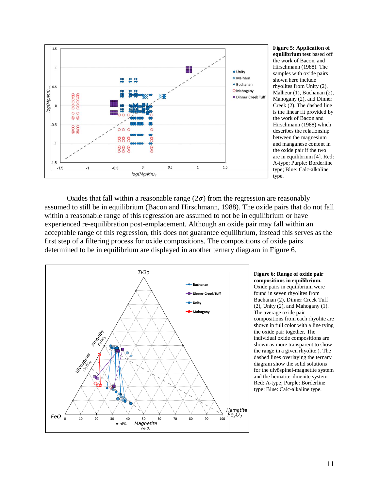

**Figure 5: Application of equilibrium test** based off the work of Bacon, and Hirschmann (1988). The samples with oxide pairs shown here include rhyolites from Unity (2), Malheur (1), Buchanan (2), Mahogany (2), and Dinner Creek (2). The dashed line is the linear fit provided by the work of Bacon and Hirschmann (1988) which describes the relationship between the magnesium and manganese content in the oxide pair if the two are in equilibrium [4]. Red: A-type; Purple: Borderline type; Blue: Calc-alkaline type.

Oxides that fall within a reasonable range  $(2\sigma)$  from the regression are reasonably assumed to still be in equilibrium (Bacon and Hirschmann, 1988). The oxide pairs that do not fall within a reasonable range of this regression are assumed to not be in equilibrium or have experienced re-equilibration post-emplacement. Although an oxide pair may fall within an acceptable range of this regression, this does not guarantee equilibrium, instead this serves as the first step of a filtering process for oxide compositions. The compositions of oxide pairs determined to be in equilibrium are displayed in another ternary diagram in Figure 6.



**Figure 6: Range of oxide pair compositions in equilibrium.** Oxide pairs in equilibrium were found in seven rhyolites from Buchanan (2), Dinner Creek Tuff (2), Unity (2), and Mahogany (1). The average oxide pair compositions from each rhyolite are shown in full color with a line tying the oxide pair together. The individual oxide compositions are shown as more transparent to show the range in a given rhyolite.). The dashed lines overlaying the ternary diagram show the solid solutions for the ulvöspinel-magnetite system and the hematite-ilmenite system. Red: A-type; Purple: Borderline type; Blue: Calc-alkaline type.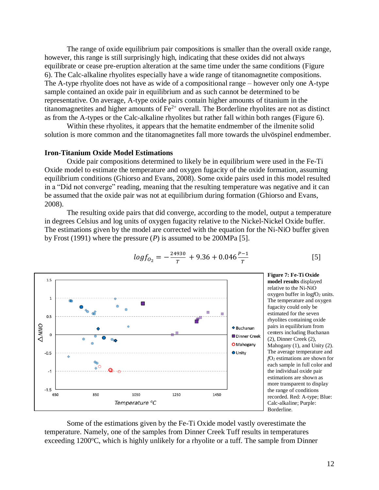The range of oxide equilibrium pair compositions is smaller than the overall oxide range, however, this range is still surprisingly high, indicating that these oxides did not always equilibrate or cease pre-eruption alteration at the same time under the same conditions (Figure 6). The Calc-alkaline rhyolites especially have a wide range of titanomagnetite compositions. The A-type rhyolite does not have as wide of a compositional range – however only one A-type sample contained an oxide pair in equilibrium and as such cannot be determined to be representative. On average, A-type oxide pairs contain higher amounts of titanium in the titanomagnetites and higher amounts of  $Fe^{2+}$  overall. The Borderline rhyolites are not as distinct as from the A-types or the Calc-alkaline rhyolites but rather fall within both ranges (Figure 6).

Within these rhyolites, it appears that the hematite endmember of the ilmenite solid solution is more common and the titanomagnetites fall more towards the ulvöspinel endmember.

#### **Iron-Titanium Oxide Model Estimations**

Oxide pair compositions determined to likely be in equilibrium were used in the Fe-Ti Oxide model to estimate the temperature and oxygen fugacity of the oxide formation, assuming equilibrium conditions (Ghiorso and Evans, 2008). Some oxide pairs used in this model resulted in a "Did not converge" reading, meaning that the resulting temperature was negative and it can be assumed that the oxide pair was not at equilibrium during formation (Ghiorso and Evans, 2008).

The resulting oxide pairs that did converge, according to the model, output a temperature in degrees Celsius and log units of oxygen fugacity relative to the Nickel-Nickel Oxide buffer. The estimations given by the model are corrected with the equation for the Ni-NiO buffer given by Frost (1991) where the pressure (*P*) is assumed to be 200MPa [5].



$$
log f_{0_2} = -\frac{24930}{T} + 9.36 + 0.046 \frac{P-1}{T}
$$
 [5]

**Figure 7: Fe-Ti Oxide model results** displayed relative to the Ni-NiO oxygen buffer in  $log/O<sub>2</sub>$  units. The temperature and oxygen fugacity could only be estimated for the seven rhyolites containing oxide pairs in equilibrium from centers including Buchanan (2), Dinner Creek (2), Mahogany (1), and Unity (2). The average temperature and *f*O<sup>2</sup> estimations are shown for each sample in full color and the individual oxide pair estimations are shown as more transparent to display the range of conditions recorded. Red: A-type; Blue: Calc-alkaline; Purple: Borderline.

Some of the estimations given by the Fe-Ti Oxide model vastly overestimate the temperature. Namely, one of the samples from Dinner Creek Tuff results in temperatures exceeding  $1200^{\circ}$ C, which is highly unlikely for a rhyolite or a tuff. The sample from Dinner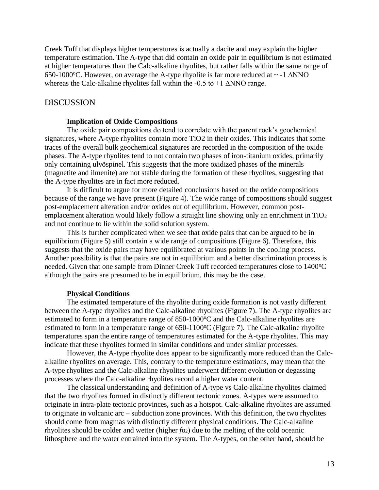Creek Tuff that displays higher temperatures is actually a dacite and may explain the higher temperature estimation. The A-type that did contain an oxide pair in equilibrium is not estimated at higher temperatures than the Calc-alkaline rhyolites, but rather falls within the same range of 650-1000 $^{\circ}$ C. However, on average the A-type rhyolite is far more reduced at  $\sim$  -1  $\triangle NNO$ whereas the Calc-alkaline rhyolites fall within the -0.5 to +1 ∆NNO range.

## DISCUSSION

#### **Implication of Oxide Compositions**

The oxide pair compositions do tend to correlate with the parent rock's geochemical signatures, where A-type rhyolites contain more TiO2 in their oxides. This indicates that some traces of the overall bulk geochemical signatures are recorded in the composition of the oxide phases. The A-type rhyolites tend to not contain two phases of iron-titanium oxides, primarily only containing ulvöspinel. This suggests that the more oxidized phases of the minerals (magnetite and ilmenite) are not stable during the formation of these rhyolites, suggesting that the A-type rhyolites are in fact more reduced.

It is difficult to argue for more detailed conclusions based on the oxide compositions because of the range we have present (Figure 4). The wide range of compositions should suggest post-emplacement alteration and/or oxides out of equilibrium. However, common postemplacement alteration would likely follow a straight line showing only an enrichment in  $TiO<sub>2</sub>$ and not continue to lie within the solid solution system.

This is further complicated when we see that oxide pairs that can be argued to be in equilibrium (Figure 5) still contain a wide range of compositions (Figure 6). Therefore, this suggests that the oxide pairs may have equilibrated at various points in the cooling process. Another possibility is that the pairs are not in equilibrium and a better discrimination process is needed. Given that one sample from Dinner Creek Tuff recorded temperatures close to 1400 °C although the pairs are presumed to be in equilibrium, this may be the case.

#### **Physical Conditions**

The estimated temperature of the rhyolite during oxide formation is not vastly different between the A-type rhyolites and the Calc-alkaline rhyolites (Figure 7). The A-type rhyolites are estimated to form in a temperature range of  $850-1000\degree$ C and the Calc-alkaline rhyolites are estimated to form in a temperature range of 650-1100°C (Figure 7). The Calc-alkaline rhyolite temperatures span the entire range of temperatures estimated for the A-type rhyolites. This may indicate that these rhyolites formed in similar conditions and under similar processes.

However, the A-type rhyolite does appear to be significantly more reduced than the Calcalkaline rhyolites on average. This, contrary to the temperature estimations, may mean that the A-type rhyolites and the Calc-alkaline rhyolites underwent different evolution or degassing processes where the Calc-alkaline rhyolites record a higher water content.

The classical understanding and definition of A-type vs Calc-alkaline rhyolites claimed that the two rhyolites formed in distinctly different tectonic zones. A-types were assumed to originate in intra-plate tectonic provinces, such as a hotspot. Calc-alkaline rhyolites are assumed to originate in volcanic arc – subduction zone provinces. With this definition, the two rhyolites should come from magmas with distinctly different physical conditions. The Calc-alkaline rhyolites should be colder and wetter (higher *fo*<sub>2</sub>) due to the melting of the cold oceanic lithosphere and the water entrained into the system. The A-types, on the other hand, should be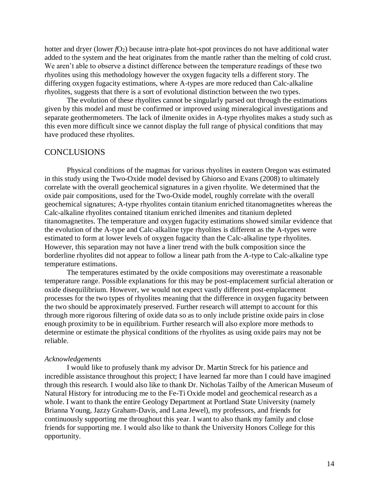hotter and dryer (lower *f*O<sub>2</sub>) because intra-plate hot-spot provinces do not have additional water added to the system and the heat originates from the mantle rather than the melting of cold crust. We aren't able to observe a distinct difference between the temperature readings of these two rhyolites using this methodology however the oxygen fugacity tells a different story. The differing oxygen fugacity estimations, where A-types are more reduced than Calc-alkaline rhyolites, suggests that there is a sort of evolutional distinction between the two types.

The evolution of these rhyolites cannot be singularly parsed out through the estimations given by this model and must be confirmed or improved using mineralogical investigations and separate geothermometers. The lack of ilmenite oxides in A-type rhyolites makes a study such as this even more difficult since we cannot display the full range of physical conditions that may have produced these rhyolites.

## **CONCLUSIONS**

Physical conditions of the magmas for various rhyolites in eastern Oregon was estimated in this study using the Two-Oxide model devised by Ghiorso and Evans (2008) to ultimately correlate with the overall geochemical signatures in a given rhyolite. We determined that the oxide pair compositions, used for the Two-Oxide model, roughly correlate with the overall geochemical signatures; A-type rhyolites contain titanium enriched titanomagnetites whereas the Calc-alkaline rhyolites contained titanium enriched ilmenites and titanium depleted titanomagnetites. The temperature and oxygen fugacity estimations showed similar evidence that the evolution of the A-type and Calc-alkaline type rhyolites is different as the A-types were estimated to form at lower levels of oxygen fugacity than the Calc-alkaline type rhyolites. However, this separation may not have a liner trend with the bulk composition since the borderline rhyolites did not appear to follow a linear path from the A-type to Calc-alkaline type temperature estimations.

The temperatures estimated by the oxide compositions may overestimate a reasonable temperature range. Possible explanations for this may be post-emplacement surficial alteration or oxide disequilibrium. However, we would not expect vastly different post-emplacement processes for the two types of rhyolites meaning that the difference in oxygen fugacity between the two should be approximately preserved. Further research will attempt to account for this through more rigorous filtering of oxide data so as to only include pristine oxide pairs in close enough proximity to be in equilibrium. Further research will also explore more methods to determine or estimate the physical conditions of the rhyolites as using oxide pairs may not be reliable.

### *Acknowledgements*

I would like to profusely thank my advisor Dr. Martin Streck for his patience and incredible assistance throughout this project; I have learned far more than I could have imagined through this research. I would also like to thank Dr. Nicholas Tailby of the American Museum of Natural History for introducing me to the Fe-Ti Oxide model and geochemical research as a whole. I want to thank the entire Geology Department at Portland State University (namely Brianna Young, Jazzy Graham-Davis, and Lana Jewel), my professors, and friends for continuously supporting me throughout this year. I want to also thank my family and close friends for supporting me. I would also like to thank the University Honors College for this opportunity.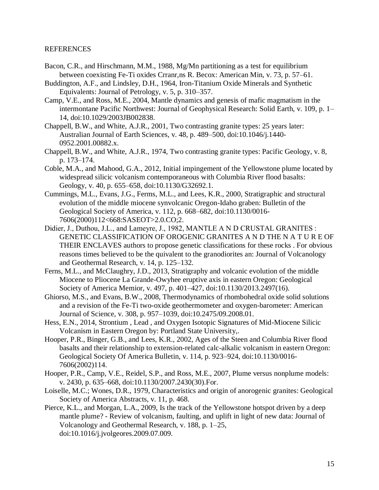## REFERENCES

- Bacon, C.R., and Hirschmann, M.M., 1988, Mg/Mn partitioning as a test for equilibrium between coexisting Fe-Ti oxides Crranr,ns R. Becox: American Min, v. 73, p. 57–61.
- Buddington, A.F., and Lindsley, D.H., 1964, Iron-Titanium Oxide Minerals and Synthetic Equivalents: Journal of Petrology, v. 5, p. 310–357.
- Camp, V.E., and Ross, M.E., 2004, Mantle dynamics and genesis of mafic magmatism in the intermontane Pacific Northwest: Journal of Geophysical Research: Solid Earth, v. 109, p. 1– 14, doi:10.1029/2003JB002838.
- Chappell, B.W., and White, A.J.R., 2001, Two contrasting granite types: 25 years later: Australian Journal of Earth Sciences, v. 48, p. 489–500, doi:10.1046/j.1440- 0952.2001.00882.x.
- Chappell, B.W., and White, A.J.R., 1974, Two contrasting granite types: Pacific Geology, v. 8, p. 173–174.
- Coble, M.A., and Mahood, G.A., 2012, Initial impingement of the Yellowstone plume located by widespread silicic volcanism contemporaneous with Columbia River flood basalts: Geology, v. 40, p. 655–658, doi:10.1130/G32692.1.
- Cummings, M.L., Evans, J.G., Ferms, M.L., and Lees, K.R., 2000, Stratigraphic and structural evolution of the middle miocene synvolcanic Oregon-Idaho graben: Bulletin of the Geological Society of America, v. 112, p. 668–682, doi:10.1130/0016- 7606(2000)112<668:SASEOT>2.0.CO;2.
- Didier, J., Duthou, J.L., and Lameyre, J., 1982, MANTLE A N D CRUSTAL GRANITES : GENETIC CLASSIFICATION OF OROGENIC GRANITES A N D THE N A T U R E OF THEIR ENCLAVES authors to propose genetic classifications for these rocks . For obvious reasons times believed to be the quivalent to the granodiorites an: Journal of Volcanology and Geothermal Research, v. 14, p. 125–132.
- Ferns, M.L., and McClaughry, J.D., 2013, Stratigraphy and volcanic evolution of the middle Miocene to Pliocene La Grande-Owyhee eruptive axis in eastern Oregon: Geological Society of America Memior, v. 497, p. 401–427, doi:10.1130/2013.2497(16).
- Ghiorso, M.S., and Evans, B.W., 2008, Thermodynamics of rhombohedral oxide solid solutions and a revision of the Fe-Ti two-oxide geothermometer and oxygen-barometer: American Journal of Science, v. 308, p. 957–1039, doi:10.2475/09.2008.01.
- Hess, E.N., 2014, Strontium , Lead , and Oxygen Isotopic Signatures of Mid-Miocene Silicic Volcanism in Eastern Oregon by: Portland State University,.
- Hooper, P.R., Binger, G.B., and Lees, K.R., 2002, Ages of the Steen and Columbia River flood basalts and their relationship to extension-related calc-alkalic volcanism in eastern Oregon: Geological Society Of America Bulletin, v. 114, p. 923–924, doi:10.1130/0016- 7606(2002)114.
- Hooper, P.R., Camp, V.E., Reidel, S.P., and Ross, M.E., 2007, Plume versus nonplume models: v. 2430, p. 635–668, doi:10.1130/2007.2430(30).For.
- Loiselle, M.C.; Wones, D.R., 1979, Characteristics and origin of anorogenic granites: Geological Society of America Abstracts, v. 11, p. 468.
- Pierce, K.L., and Morgan, L.A., 2009, Is the track of the Yellowstone hotspot driven by a deep mantle plume? - Review of volcanism, faulting, and uplift in light of new data: Journal of Volcanology and Geothermal Research, v. 188, p. 1–25, doi:10.1016/j.jvolgeores.2009.07.009.